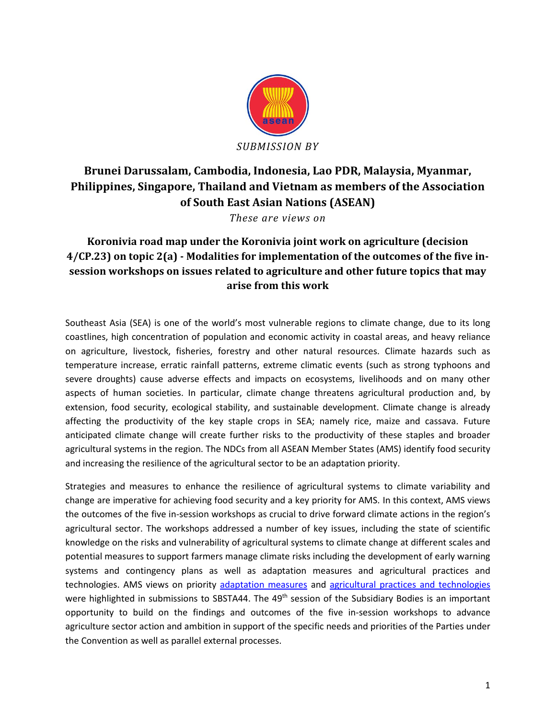

# **Brunei Darussalam, Cambodia, Indonesia, Lao PDR, Malaysia, Myanmar, Philippines, Singapore, Thailand and Vietnam as members of the Association of South East Asian Nations (ASEAN)**

*These are views on*

## **Koronivia road map under the Koronivia joint work on agriculture (decision 4/CP.23) on topic 2(a) - Modalities for implementation of the outcomes of the five insession workshops on issues related to agriculture and other future topics that may arise from this work**

Southeast Asia (SEA) is one of the world's most vulnerable regions to climate change, due to its long coastlines, high concentration of population and economic activity in coastal areas, and heavy reliance on agriculture, livestock, fisheries, forestry and other natural resources. Climate hazards such as temperature increase, erratic rainfall patterns, extreme climatic events (such as strong typhoons and severe droughts) cause adverse effects and impacts on ecosystems, livelihoods and on many other aspects of human societies. In particular, climate change threatens agricultural production and, by extension, food security, ecological stability, and sustainable development. Climate change is already affecting the productivity of the key staple crops in SEA; namely rice, maize and cassava. Future anticipated climate change will create further risks to the productivity of these staples and broader agricultural systems in the region. The NDCs from all ASEAN Member States (AMS) identify food security and increasing the resilience of the agricultural sector to be an adaptation priority.

Strategies and measures to enhance the resilience of agricultural systems to climate variability and change are imperative for achieving food security and a key priority for AMS. In this context, AMS views the outcomes of the five in-session workshops as crucial to drive forward climate actions in the region's agricultural sector. The workshops addressed a number of key issues, including the state of scientific knowledge on the risks and vulnerability of agricultural systems to climate change at different scales and potential measures to support farmers manage climate risks including the development of early warning systems and contingency plans as well as adaptation measures and agricultural practices and technologies. AMS views on priority [adaptation measures](http://www4.unfccc.int/submissions/Lists/OSPSubmissionUpload/53_84_131031361073219110-ASEAN%20Submission%20to%20SBSTA%201%20-%20Adaptation%20measures%20FINAL.pdf) and [agricultural practices and technologies](http://www4.unfccc.int/Submissions/Lists/OSPSubmissionUpload/53_84_131031085300631893-ASEAN%20Submission%20to%20SBSTA%202%20-%20Agricultural%20practices%20and%20technologies%20FINAL.pdf) were highlighted in submissions to SBSTA44. The 49<sup>th</sup> session of the Subsidiary Bodies is an important opportunity to build on the findings and outcomes of the five in-session workshops to advance agriculture sector action and ambition in support of the specific needs and priorities of the Parties under the Convention as well as parallel external processes.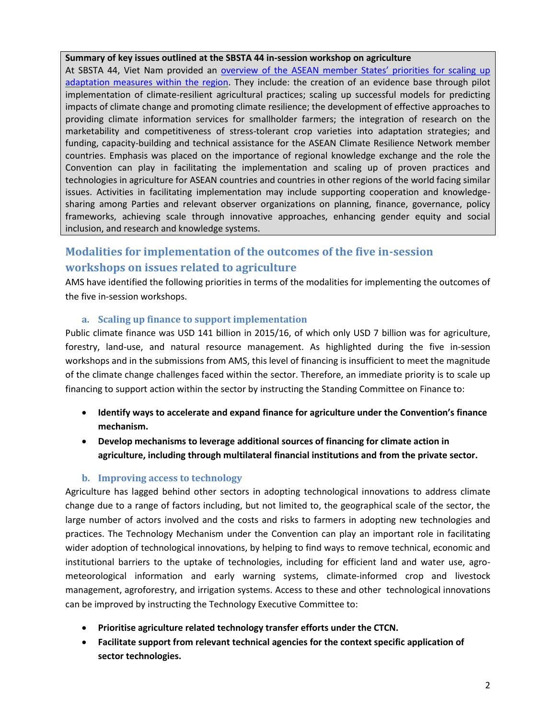### **Summary of key issues outlined at the SBSTA 44 in-session workshop on agriculture**

At SBSTA 44, Viet Nam provided an overview of the ASEAN member States' priorities for scaling up [adaptation measures within the region.](https://unfccc.int/files/land_use_and_climate_change/agriculture/application/pdf/viet_nam_sbsta_44_in_session_workshop_on_adaptation_measures_20_may_(2).pdf) They include: the creation of an evidence base through pilot implementation of climate-resilient agricultural practices; scaling up successful models for predicting impacts of climate change and promoting climate resilience; the development of effective approaches to providing climate information services for smallholder farmers; the integration of research on the marketability and competitiveness of stress-tolerant crop varieties into adaptation strategies; and funding, capacity-building and technical assistance for the ASEAN Climate Resilience Network member countries. Emphasis was placed on the importance of regional knowledge exchange and the role the Convention can play in facilitating the implementation and scaling up of proven practices and technologies in agriculture for ASEAN countries and countries in other regions of the world facing similar issues. Activities in facilitating implementation may include supporting cooperation and knowledgesharing among Parties and relevant observer organizations on planning, finance, governance, policy frameworks, achieving scale through innovative approaches, enhancing gender equity and social inclusion, and research and knowledge systems.

## **Modalities for implementation of the outcomes of the five in-session workshops on issues related to agriculture**

AMS have identified the following priorities in terms of the modalities for implementing the outcomes of the five in-session workshops.

## **a. Scaling up finance to support implementation**

Public climate finance was USD 141 billion in 2015/16, of which only USD 7 billion was for agriculture, forestry, land-use, and natural resource management. As highlighted during the five in-session workshops and in the submissions from AMS, this level of financing is insufficient to meet the magnitude of the climate change challenges faced within the sector. Therefore, an immediate priority is to scale up financing to support action within the sector by instructing the Standing Committee on Finance to:

- **Identify ways to accelerate and expand finance for agriculture under the Convention's finance mechanism.**
- **Develop mechanisms to leverage additional sources of financing for climate action in agriculture, including through multilateral financial institutions and from the private sector.**

## **b. Improving access to technology**

Agriculture has lagged behind other sectors in adopting technological innovations to address climate change due to a range of factors including, but not limited to, the geographical scale of the sector, the large number of actors involved and the costs and risks to farmers in adopting new technologies and practices. The Technology Mechanism under the Convention can play an important role in facilitating wider adoption of technological innovations, by helping to find ways to remove technical, economic and institutional barriers to the uptake of technologies, including for efficient land and water use, agrometeorological information and early warning systems, climate-informed crop and livestock management, agroforestry, and irrigation systems. Access to these and other technological innovations can be improved by instructing the Technology Executive Committee to:

- **Prioritise agriculture related technology transfer efforts under the CTCN.**
- **Facilitate support from relevant technical agencies for the context specific application of sector technologies.**